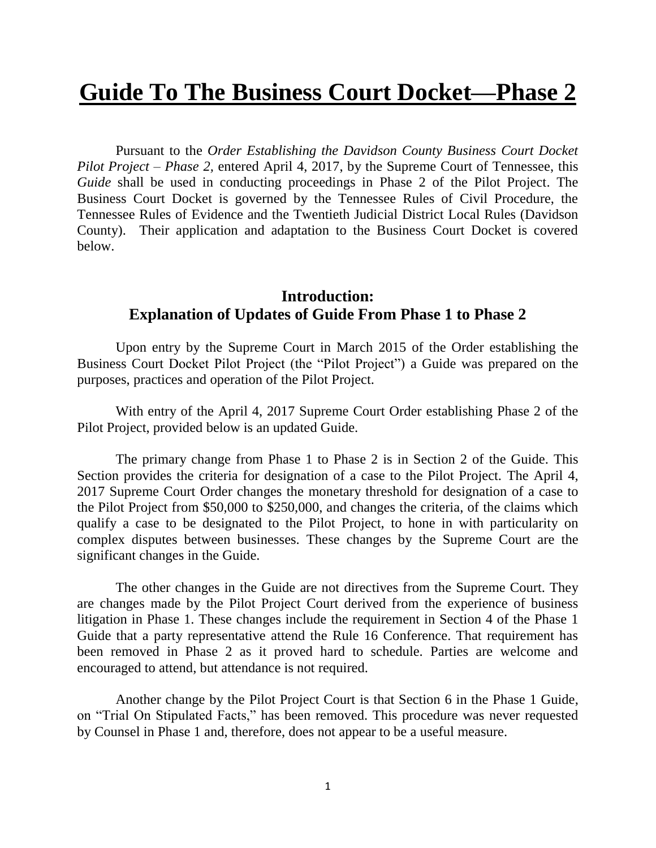# **Guide To The Business Court Docket—Phase 2**

Pursuant to the *Order Establishing the Davidson County Business Court Docket Pilot Project – Phase 2,* entered April 4, 2017, by the Supreme Court of Tennessee, this *Guide* shall be used in conducting proceedings in Phase 2 of the Pilot Project. The Business Court Docket is governed by the Tennessee Rules of Civil Procedure, the Tennessee Rules of Evidence and the Twentieth Judicial District Local Rules (Davidson County). Their application and adaptation to the Business Court Docket is covered below.

## **Introduction: Explanation of Updates of Guide From Phase 1 to Phase 2**

Upon entry by the Supreme Court in March 2015 of the Order establishing the Business Court Docket Pilot Project (the "Pilot Project") a Guide was prepared on the purposes, practices and operation of the Pilot Project.

With entry of the April 4, 2017 Supreme Court Order establishing Phase 2 of the Pilot Project, provided below is an updated Guide.

The primary change from Phase 1 to Phase 2 is in Section 2 of the Guide. This Section provides the criteria for designation of a case to the Pilot Project. The April 4, 2017 Supreme Court Order changes the monetary threshold for designation of a case to the Pilot Project from \$50,000 to \$250,000, and changes the criteria, of the claims which qualify a case to be designated to the Pilot Project, to hone in with particularity on complex disputes between businesses. These changes by the Supreme Court are the significant changes in the Guide.

The other changes in the Guide are not directives from the Supreme Court. They are changes made by the Pilot Project Court derived from the experience of business litigation in Phase 1. These changes include the requirement in Section 4 of the Phase 1 Guide that a party representative attend the Rule 16 Conference. That requirement has been removed in Phase 2 as it proved hard to schedule. Parties are welcome and encouraged to attend, but attendance is not required.

Another change by the Pilot Project Court is that Section 6 in the Phase 1 Guide, on "Trial On Stipulated Facts," has been removed. This procedure was never requested by Counsel in Phase 1 and, therefore, does not appear to be a useful measure.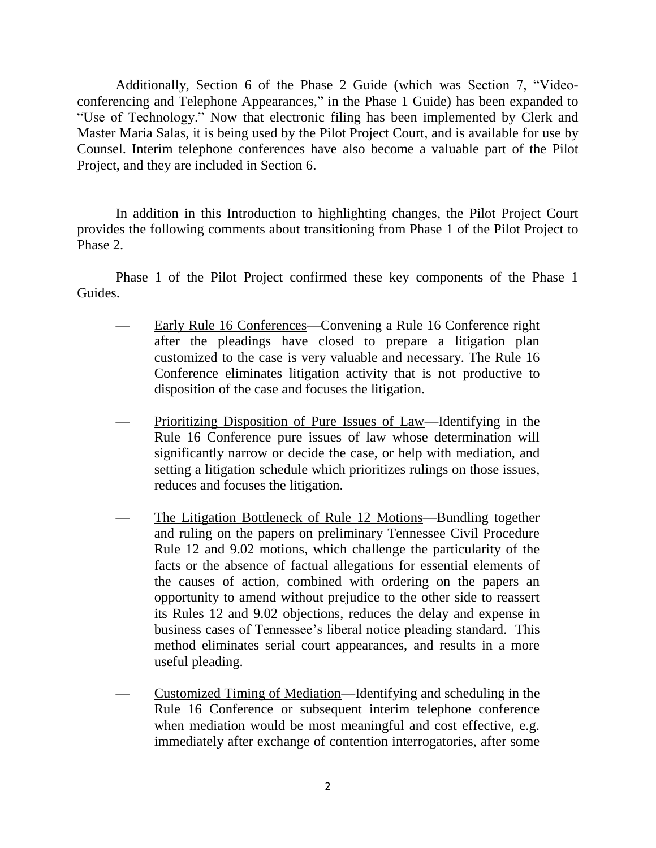Additionally, Section 6 of the Phase 2 Guide (which was Section 7, "Videoconferencing and Telephone Appearances," in the Phase 1 Guide) has been expanded to "Use of Technology." Now that electronic filing has been implemented by Clerk and Master Maria Salas, it is being used by the Pilot Project Court, and is available for use by Counsel. Interim telephone conferences have also become a valuable part of the Pilot Project, and they are included in Section 6.

In addition in this Introduction to highlighting changes, the Pilot Project Court provides the following comments about transitioning from Phase 1 of the Pilot Project to Phase 2.

Phase 1 of the Pilot Project confirmed these key components of the Phase 1 Guides.

- Early Rule 16 Conferences—Convening a Rule 16 Conference right after the pleadings have closed to prepare a litigation plan customized to the case is very valuable and necessary. The Rule 16 Conference eliminates litigation activity that is not productive to disposition of the case and focuses the litigation.
- Prioritizing Disposition of Pure Issues of Law—Identifying in the Rule 16 Conference pure issues of law whose determination will significantly narrow or decide the case, or help with mediation, and setting a litigation schedule which prioritizes rulings on those issues, reduces and focuses the litigation.
- The Litigation Bottleneck of Rule 12 Motions—Bundling together and ruling on the papers on preliminary Tennessee Civil Procedure Rule 12 and 9.02 motions, which challenge the particularity of the facts or the absence of factual allegations for essential elements of the causes of action, combined with ordering on the papers an opportunity to amend without prejudice to the other side to reassert its Rules 12 and 9.02 objections, reduces the delay and expense in business cases of Tennessee's liberal notice pleading standard. This method eliminates serial court appearances, and results in a more useful pleading.
- Customized Timing of Mediation—Identifying and scheduling in the Rule 16 Conference or subsequent interim telephone conference when mediation would be most meaningful and cost effective, e.g. immediately after exchange of contention interrogatories, after some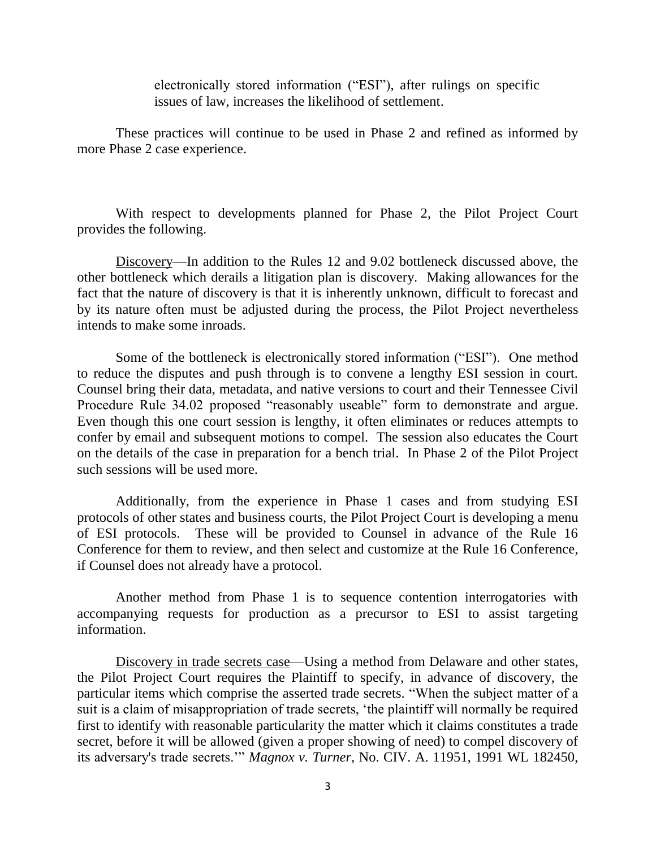electronically stored information ("ESI"), after rulings on specific issues of law, increases the likelihood of settlement.

These practices will continue to be used in Phase 2 and refined as informed by more Phase 2 case experience.

With respect to developments planned for Phase 2, the Pilot Project Court provides the following.

Discovery—In addition to the Rules 12 and 9.02 bottleneck discussed above, the other bottleneck which derails a litigation plan is discovery. Making allowances for the fact that the nature of discovery is that it is inherently unknown, difficult to forecast and by its nature often must be adjusted during the process, the Pilot Project nevertheless intends to make some inroads.

Some of the bottleneck is electronically stored information ("ESI"). One method to reduce the disputes and push through is to convene a lengthy ESI session in court. Counsel bring their data, metadata, and native versions to court and their Tennessee Civil Procedure Rule 34.02 proposed "reasonably useable" form to demonstrate and argue. Even though this one court session is lengthy, it often eliminates or reduces attempts to confer by email and subsequent motions to compel. The session also educates the Court on the details of the case in preparation for a bench trial. In Phase 2 of the Pilot Project such sessions will be used more.

Additionally, from the experience in Phase 1 cases and from studying ESI protocols of other states and business courts, the Pilot Project Court is developing a menu of ESI protocols. These will be provided to Counsel in advance of the Rule 16 Conference for them to review, and then select and customize at the Rule 16 Conference, if Counsel does not already have a protocol.

Another method from Phase 1 is to sequence contention interrogatories with accompanying requests for production as a precursor to ESI to assist targeting information.

Discovery in trade secrets case—Using a method from Delaware and other states, the Pilot Project Court requires the Plaintiff to specify, in advance of discovery, the particular items which comprise the asserted trade secrets. "When the subject matter of a suit is a claim of misappropriation of trade secrets, 'the plaintiff will normally be required first to identify with reasonable particularity the matter which it claims constitutes a trade secret, before it will be allowed (given a proper showing of need) to compel discovery of its adversary's trade secrets.'" *Magnox v. Turner*, No. CIV. A. 11951, 1991 WL 182450,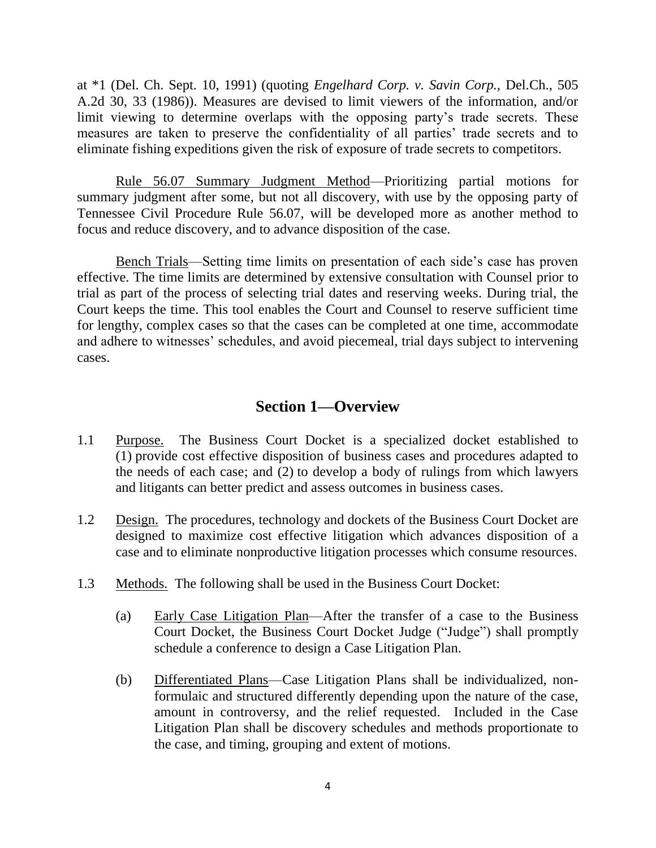at \*1 (Del. Ch. Sept. 10, 1991) (quoting *Engelhard Corp. v. Savin Corp.,* Del.Ch., 505 A.2d 30, 33 (1986)). Measures are devised to limit viewers of the information, and/or limit viewing to determine overlaps with the opposing party's trade secrets. These measures are taken to preserve the confidentiality of all parties' trade secrets and to eliminate fishing expeditions given the risk of exposure of trade secrets to competitors.

Rule 56.07 Summary Judgment Method—Prioritizing partial motions for summary judgment after some, but not all discovery, with use by the opposing party of Tennessee Civil Procedure Rule 56.07, will be developed more as another method to focus and reduce discovery, and to advance disposition of the case.

Bench Trials—Setting time limits on presentation of each side's case has proven effective. The time limits are determined by extensive consultation with Counsel prior to trial as part of the process of selecting trial dates and reserving weeks. During trial, the Court keeps the time. This tool enables the Court and Counsel to reserve sufficient time for lengthy, complex cases so that the cases can be completed at one time, accommodate and adhere to witnesses' schedules, and avoid piecemeal, trial days subject to intervening cases.

## **Section 1—Overview**

- 1.1 Purpose. The Business Court Docket is a specialized docket established to (1) provide cost effective disposition of business cases and procedures adapted to the needs of each case; and (2) to develop a body of rulings from which lawyers and litigants can better predict and assess outcomes in business cases.
- 1.2 Design. The procedures, technology and dockets of the Business Court Docket are designed to maximize cost effective litigation which advances disposition of a case and to eliminate nonproductive litigation processes which consume resources.
- 1.3 Methods. The following shall be used in the Business Court Docket:
	- (a) Early Case Litigation Plan—After the transfer of a case to the Business Court Docket, the Business Court Docket Judge ("Judge") shall promptly schedule a conference to design a Case Litigation Plan.
	- (b) Differentiated Plans—Case Litigation Plans shall be individualized, nonformulaic and structured differently depending upon the nature of the case, amount in controversy, and the relief requested. Included in the Case Litigation Plan shall be discovery schedules and methods proportionate to the case, and timing, grouping and extent of motions.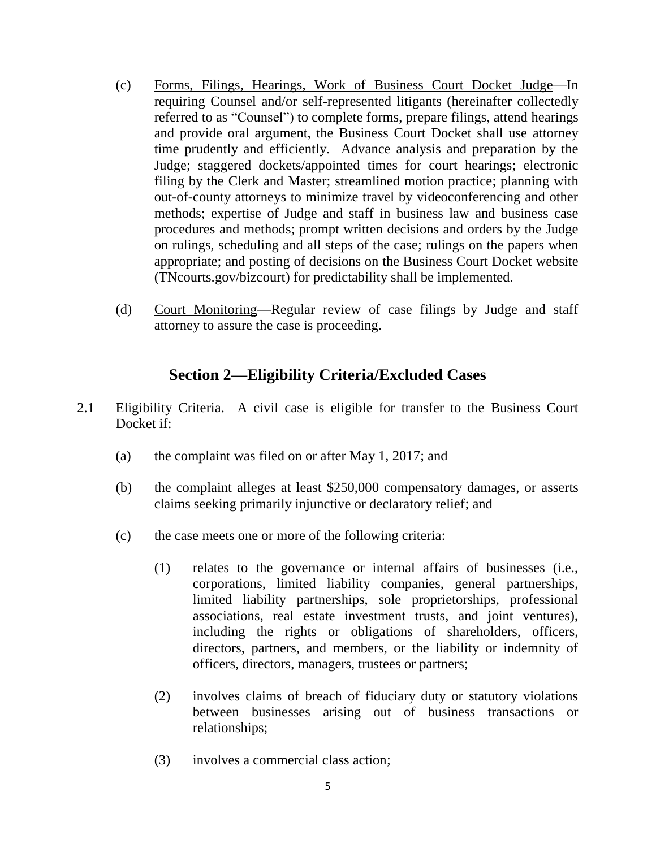- (c) Forms, Filings, Hearings, Work of Business Court Docket Judge—In requiring Counsel and/or self-represented litigants (hereinafter collectedly referred to as "Counsel") to complete forms, prepare filings, attend hearings and provide oral argument, the Business Court Docket shall use attorney time prudently and efficiently. Advance analysis and preparation by the Judge; staggered dockets/appointed times for court hearings; electronic filing by the Clerk and Master; streamlined motion practice; planning with out-of-county attorneys to minimize travel by videoconferencing and other methods; expertise of Judge and staff in business law and business case procedures and methods; prompt written decisions and orders by the Judge on rulings, scheduling and all steps of the case; rulings on the papers when appropriate; and posting of decisions on the Business Court Docket website (TNcourts.gov/bizcourt) for predictability shall be implemented.
- (d) Court Monitoring—Regular review of case filings by Judge and staff attorney to assure the case is proceeding.

# **Section 2—Eligibility Criteria/Excluded Cases**

- 2.1 Eligibility Criteria. A civil case is eligible for transfer to the Business Court Docket if:
	- (a) the complaint was filed on or after May 1, 2017; and
	- (b) the complaint alleges at least \$250,000 compensatory damages, or asserts claims seeking primarily injunctive or declaratory relief; and
	- (c) the case meets one or more of the following criteria:
		- (1) relates to the governance or internal affairs of businesses (i.e., corporations, limited liability companies, general partnerships, limited liability partnerships, sole proprietorships, professional associations, real estate investment trusts, and joint ventures), including the rights or obligations of shareholders, officers, directors, partners, and members, or the liability or indemnity of officers, directors, managers, trustees or partners;
		- (2) involves claims of breach of fiduciary duty or statutory violations between businesses arising out of business transactions or relationships;
		- (3) involves a commercial class action;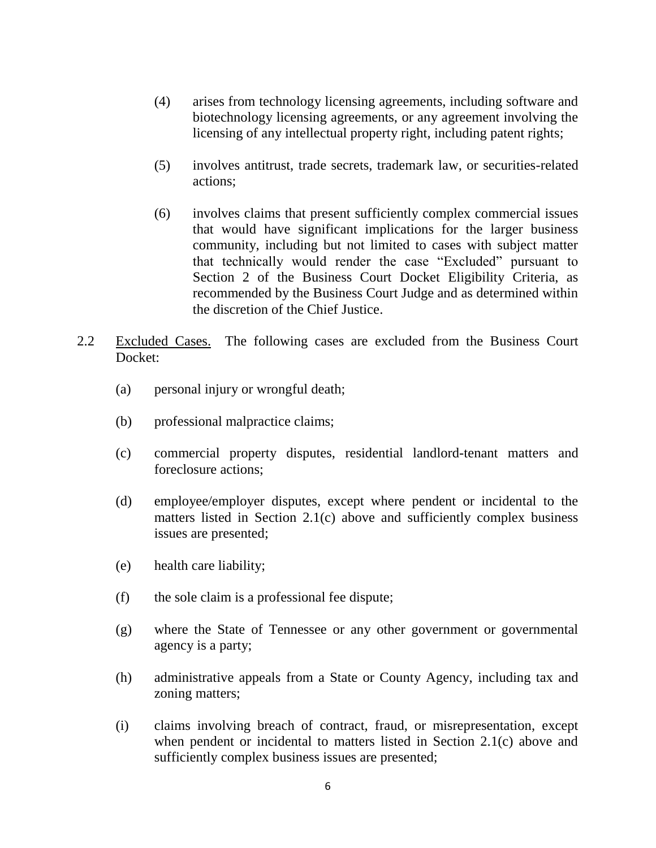- (4) arises from technology licensing agreements, including software and biotechnology licensing agreements, or any agreement involving the licensing of any intellectual property right, including patent rights;
- (5) involves antitrust, trade secrets, trademark law, or securities-related actions;
- (6) involves claims that present sufficiently complex commercial issues that would have significant implications for the larger business community, including but not limited to cases with subject matter that technically would render the case "Excluded" pursuant to Section 2 of the Business Court Docket Eligibility Criteria, as recommended by the Business Court Judge and as determined within the discretion of the Chief Justice.
- 2.2 Excluded Cases. The following cases are excluded from the Business Court Docket:
	- (a) personal injury or wrongful death;
	- (b) professional malpractice claims;
	- (c) commercial property disputes, residential landlord-tenant matters and foreclosure actions;
	- (d) employee/employer disputes, except where pendent or incidental to the matters listed in Section 2.1(c) above and sufficiently complex business issues are presented;
	- (e) health care liability;
	- (f) the sole claim is a professional fee dispute;
	- (g) where the State of Tennessee or any other government or governmental agency is a party;
	- (h) administrative appeals from a State or County Agency, including tax and zoning matters;
	- (i) claims involving breach of contract, fraud, or misrepresentation, except when pendent or incidental to matters listed in Section 2.1(c) above and sufficiently complex business issues are presented;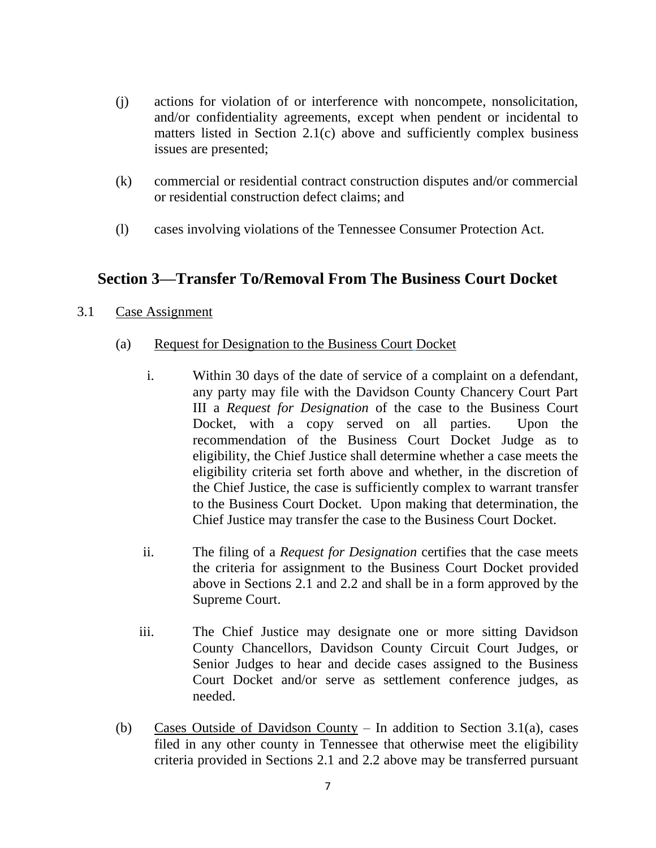- (j) actions for violation of or interference with noncompete, nonsolicitation, and/or confidentiality agreements, except when pendent or incidental to matters listed in Section 2.1(c) above and sufficiently complex business issues are presented;
- (k) commercial or residential contract construction disputes and/or commercial or residential construction defect claims; and
- (l) cases involving violations of the Tennessee Consumer Protection Act.

# **Section 3—Transfer To/Removal From The Business Court Docket**

- 3.1 Case Assignment
	- (a) Request for Designation to the Business Court Docket
		- i. Within 30 days of the date of service of a complaint on a defendant, any party may file with the Davidson County Chancery Court Part III a *Request for Designation* of the case to the Business Court Docket, with a copy served on all parties. Upon the recommendation of the Business Court Docket Judge as to eligibility, the Chief Justice shall determine whether a case meets the eligibility criteria set forth above and whether, in the discretion of the Chief Justice, the case is sufficiently complex to warrant transfer to the Business Court Docket. Upon making that determination, the Chief Justice may transfer the case to the Business Court Docket.
		- ii. The filing of a *Request for Designation* certifies that the case meets the criteria for assignment to the Business Court Docket provided above in Sections 2.1 and 2.2 and shall be in a form approved by the Supreme Court.
		- iii. The Chief Justice may designate one or more sitting Davidson County Chancellors, Davidson County Circuit Court Judges, or Senior Judges to hear and decide cases assigned to the Business Court Docket and/or serve as settlement conference judges, as needed.
	- (b) Cases Outside of Davidson County In addition to Section 3.1(a), cases filed in any other county in Tennessee that otherwise meet the eligibility criteria provided in Sections 2.1 and 2.2 above may be transferred pursuant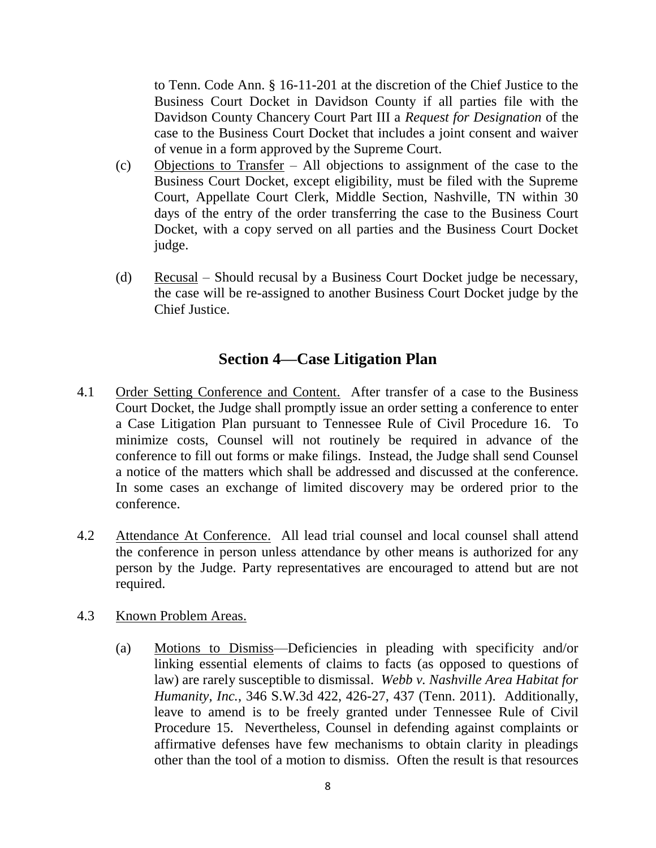to Tenn. Code Ann. § 16-11-201 at the discretion of the Chief Justice to the Business Court Docket in Davidson County if all parties file with the Davidson County Chancery Court Part III a *Request for Designation* of the case to the Business Court Docket that includes a joint consent and waiver of venue in a form approved by the Supreme Court.

- (c) Objections to Transfer All objections to assignment of the case to the Business Court Docket, except eligibility, must be filed with the Supreme Court, Appellate Court Clerk, Middle Section, Nashville, TN within 30 days of the entry of the order transferring the case to the Business Court Docket, with a copy served on all parties and the Business Court Docket judge.
- (d) Recusal Should recusal by a Business Court Docket judge be necessary, the case will be re-assigned to another Business Court Docket judge by the Chief Justice.

# **Section 4—Case Litigation Plan**

- 4.1 Order Setting Conference and Content. After transfer of a case to the Business Court Docket, the Judge shall promptly issue an order setting a conference to enter a Case Litigation Plan pursuant to Tennessee Rule of Civil Procedure 16. To minimize costs, Counsel will not routinely be required in advance of the conference to fill out forms or make filings. Instead, the Judge shall send Counsel a notice of the matters which shall be addressed and discussed at the conference. In some cases an exchange of limited discovery may be ordered prior to the conference.
- 4.2 Attendance At Conference. All lead trial counsel and local counsel shall attend the conference in person unless attendance by other means is authorized for any person by the Judge. Party representatives are encouraged to attend but are not required.
- 4.3 Known Problem Areas.
	- (a) Motions to Dismiss—Deficiencies in pleading with specificity and/or linking essential elements of claims to facts (as opposed to questions of law) are rarely susceptible to dismissal. *Webb v. Nashville Area Habitat for Humanity, Inc.*, 346 S.W.3d 422, 426-27, 437 (Tenn. 2011). Additionally, leave to amend is to be freely granted under Tennessee Rule of Civil Procedure 15. Nevertheless, Counsel in defending against complaints or affirmative defenses have few mechanisms to obtain clarity in pleadings other than the tool of a motion to dismiss. Often the result is that resources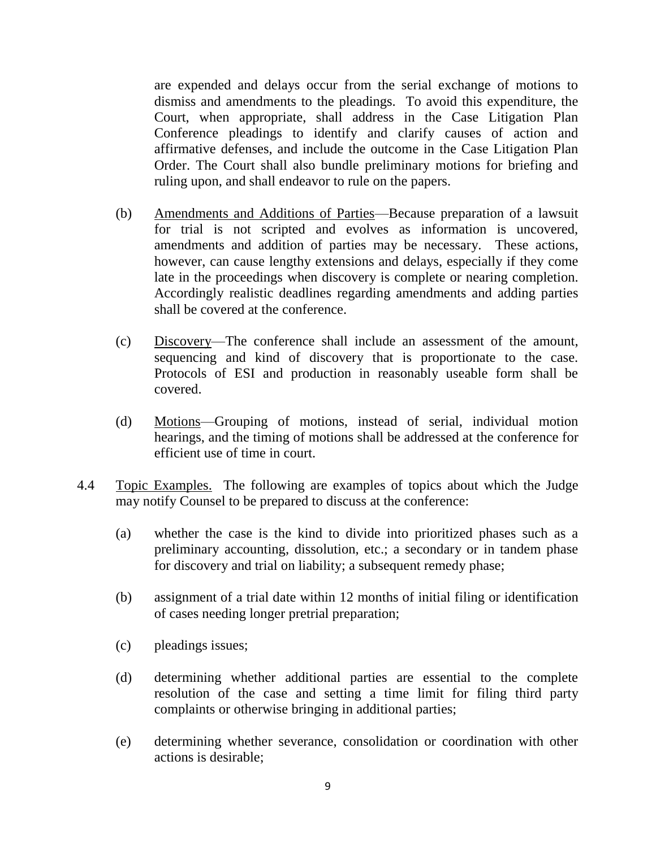are expended and delays occur from the serial exchange of motions to dismiss and amendments to the pleadings. To avoid this expenditure, the Court, when appropriate, shall address in the Case Litigation Plan Conference pleadings to identify and clarify causes of action and affirmative defenses, and include the outcome in the Case Litigation Plan Order. The Court shall also bundle preliminary motions for briefing and ruling upon, and shall endeavor to rule on the papers.

- (b) Amendments and Additions of Parties—Because preparation of a lawsuit for trial is not scripted and evolves as information is uncovered, amendments and addition of parties may be necessary. These actions, however, can cause lengthy extensions and delays, especially if they come late in the proceedings when discovery is complete or nearing completion. Accordingly realistic deadlines regarding amendments and adding parties shall be covered at the conference.
- (c) Discovery—The conference shall include an assessment of the amount, sequencing and kind of discovery that is proportionate to the case. Protocols of ESI and production in reasonably useable form shall be covered.
- (d) Motions—Grouping of motions, instead of serial, individual motion hearings, and the timing of motions shall be addressed at the conference for efficient use of time in court.
- 4.4 Topic Examples. The following are examples of topics about which the Judge may notify Counsel to be prepared to discuss at the conference:
	- (a) whether the case is the kind to divide into prioritized phases such as a preliminary accounting, dissolution, etc.; a secondary or in tandem phase for discovery and trial on liability; a subsequent remedy phase;
	- (b) assignment of a trial date within 12 months of initial filing or identification of cases needing longer pretrial preparation;
	- (c) pleadings issues;
	- (d) determining whether additional parties are essential to the complete resolution of the case and setting a time limit for filing third party complaints or otherwise bringing in additional parties;
	- (e) determining whether severance, consolidation or coordination with other actions is desirable;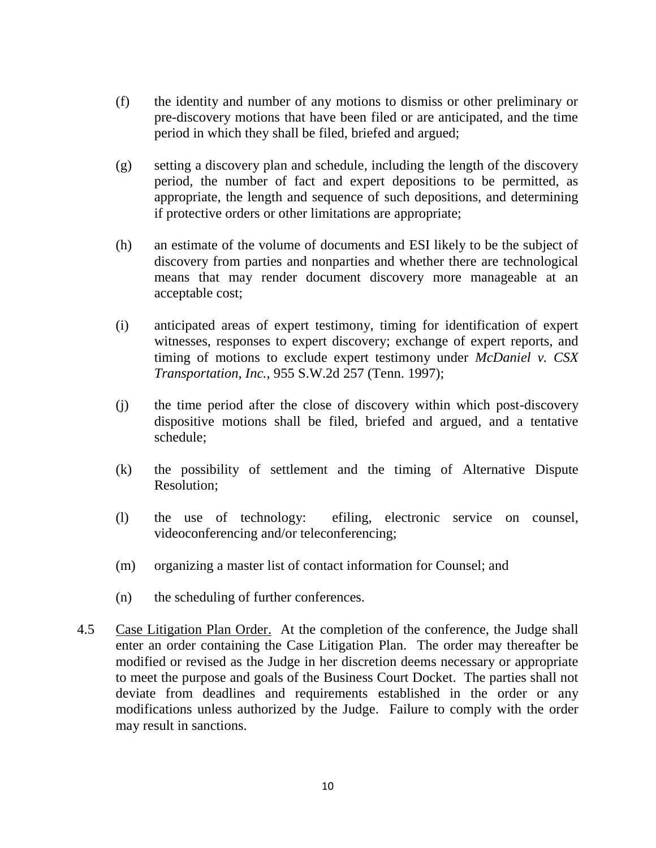- (f) the identity and number of any motions to dismiss or other preliminary or pre-discovery motions that have been filed or are anticipated, and the time period in which they shall be filed, briefed and argued;
- (g) setting a discovery plan and schedule, including the length of the discovery period, the number of fact and expert depositions to be permitted, as appropriate, the length and sequence of such depositions, and determining if protective orders or other limitations are appropriate;
- (h) an estimate of the volume of documents and ESI likely to be the subject of discovery from parties and nonparties and whether there are technological means that may render document discovery more manageable at an acceptable cost;
- (i) anticipated areas of expert testimony, timing for identification of expert witnesses, responses to expert discovery; exchange of expert reports, and timing of motions to exclude expert testimony under *McDaniel v. CSX Transportation, Inc.*, 955 S.W.2d 257 (Tenn. 1997);
- (j) the time period after the close of discovery within which post-discovery dispositive motions shall be filed, briefed and argued, and a tentative schedule;
- (k) the possibility of settlement and the timing of Alternative Dispute Resolution;
- (l) the use of technology: efiling, electronic service on counsel, videoconferencing and/or teleconferencing;
- (m) organizing a master list of contact information for Counsel; and
- (n) the scheduling of further conferences.
- 4.5 Case Litigation Plan Order. At the completion of the conference, the Judge shall enter an order containing the Case Litigation Plan. The order may thereafter be modified or revised as the Judge in her discretion deems necessary or appropriate to meet the purpose and goals of the Business Court Docket. The parties shall not deviate from deadlines and requirements established in the order or any modifications unless authorized by the Judge. Failure to comply with the order may result in sanctions.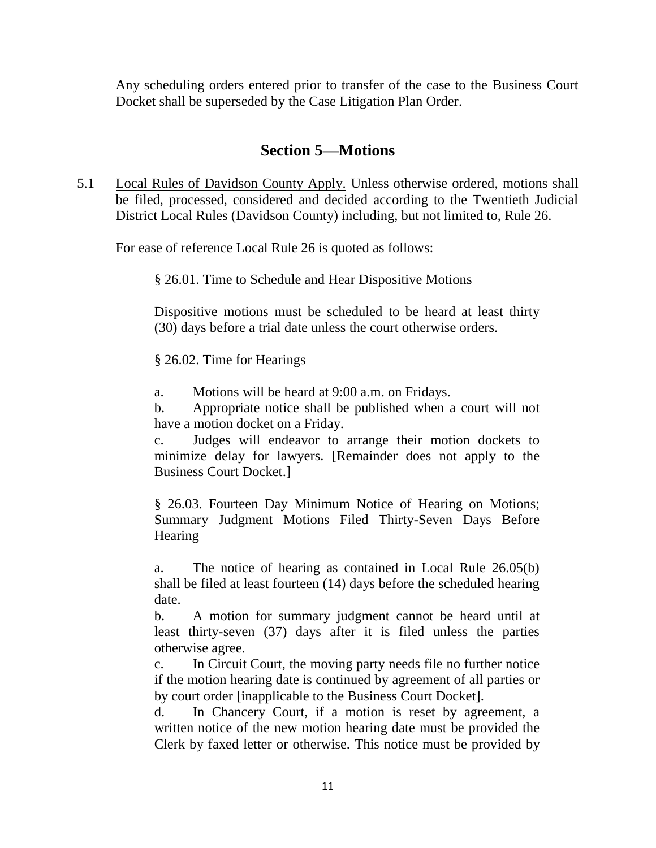Any scheduling orders entered prior to transfer of the case to the Business Court Docket shall be superseded by the Case Litigation Plan Order.

## **Section 5—Motions**

5.1 Local Rules of Davidson County Apply. Unless otherwise ordered, motions shall be filed, processed, considered and decided according to the Twentieth Judicial District Local Rules (Davidson County) including, but not limited to, Rule 26.

For ease of reference Local Rule 26 is quoted as follows:

§ 26.01. Time to Schedule and Hear Dispositive Motions

Dispositive motions must be scheduled to be heard at least thirty (30) days before a trial date unless the court otherwise orders.

§ 26.02. Time for Hearings

a. Motions will be heard at 9:00 a.m. on Fridays.

b. Appropriate notice shall be published when a court will not have a motion docket on a Friday.

c. Judges will endeavor to arrange their motion dockets to minimize delay for lawyers. [Remainder does not apply to the Business Court Docket.]

§ 26.03. Fourteen Day Minimum Notice of Hearing on Motions; Summary Judgment Motions Filed Thirty-Seven Days Before **Hearing** 

a. The notice of hearing as contained in Local Rule 26.05(b) shall be filed at least fourteen (14) days before the scheduled hearing date.

b. A motion for summary judgment cannot be heard until at least thirty-seven (37) days after it is filed unless the parties otherwise agree.

c. In Circuit Court, the moving party needs file no further notice if the motion hearing date is continued by agreement of all parties or by court order [inapplicable to the Business Court Docket].

d. In Chancery Court, if a motion is reset by agreement, a written notice of the new motion hearing date must be provided the Clerk by faxed letter or otherwise. This notice must be provided by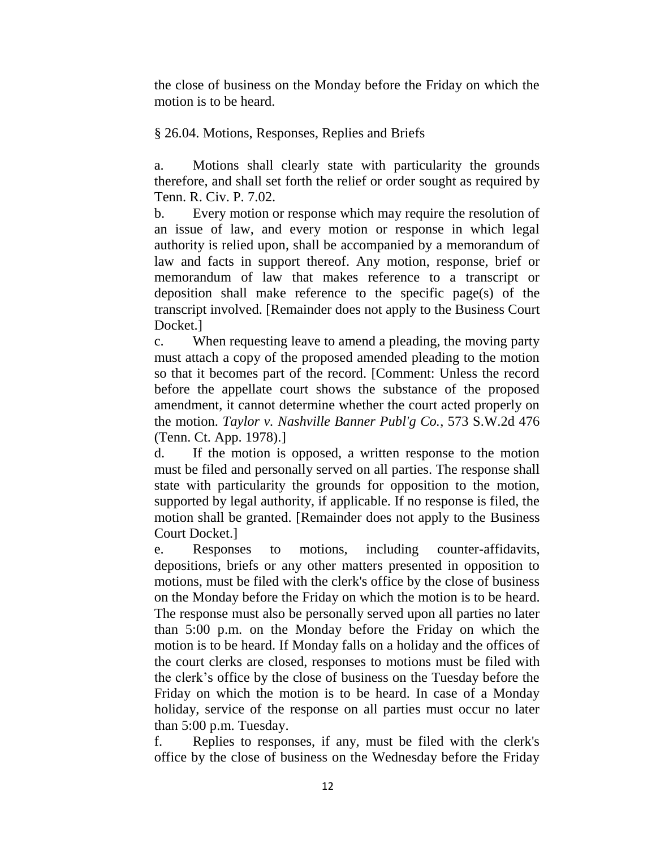the close of business on the Monday before the Friday on which the motion is to be heard.

§ 26.04. Motions, Responses, Replies and Briefs

a. Motions shall clearly state with particularity the grounds therefore, and shall set forth the relief or order sought as required by Tenn. R. Civ. P. 7.02.

b. Every motion or response which may require the resolution of an issue of law, and every motion or response in which legal authority is relied upon, shall be accompanied by a memorandum of law and facts in support thereof. Any motion, response, brief or memorandum of law that makes reference to a transcript or deposition shall make reference to the specific page(s) of the transcript involved. [Remainder does not apply to the Business Court Docket.]

c. When requesting leave to amend a pleading, the moving party must attach a copy of the proposed amended pleading to the motion so that it becomes part of the record. [Comment: Unless the record before the appellate court shows the substance of the proposed amendment, it cannot determine whether the court acted properly on the motion. *Taylor v. Nashville Banner Publ'g Co.*, 573 S.W.2d 476 (Tenn. Ct. App. 1978).]

d. If the motion is opposed, a written response to the motion must be filed and personally served on all parties. The response shall state with particularity the grounds for opposition to the motion, supported by legal authority, if applicable. If no response is filed, the motion shall be granted. [Remainder does not apply to the Business Court Docket.]

e. Responses to motions, including counter-affidavits, depositions, briefs or any other matters presented in opposition to motions, must be filed with the clerk's office by the close of business on the Monday before the Friday on which the motion is to be heard. The response must also be personally served upon all parties no later than 5:00 p.m. on the Monday before the Friday on which the motion is to be heard. If Monday falls on a holiday and the offices of the court clerks are closed, responses to motions must be filed with the clerk's office by the close of business on the Tuesday before the Friday on which the motion is to be heard. In case of a Monday holiday, service of the response on all parties must occur no later than 5:00 p.m. Tuesday.

f. Replies to responses, if any, must be filed with the clerk's office by the close of business on the Wednesday before the Friday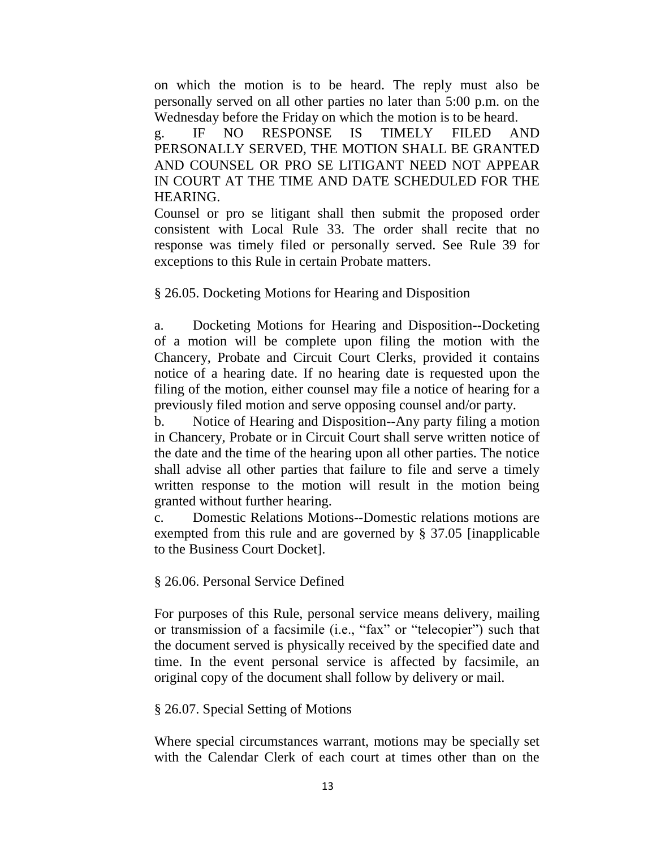on which the motion is to be heard. The reply must also be personally served on all other parties no later than 5:00 p.m. on the Wednesday before the Friday on which the motion is to be heard.

g. IF NO RESPONSE IS TIMELY FILED AND PERSONALLY SERVED, THE MOTION SHALL BE GRANTED AND COUNSEL OR PRO SE LITIGANT NEED NOT APPEAR IN COURT AT THE TIME AND DATE SCHEDULED FOR THE HEARING.

Counsel or pro se litigant shall then submit the proposed order consistent with Local Rule 33. The order shall recite that no response was timely filed or personally served. See Rule 39 for exceptions to this Rule in certain Probate matters.

§ 26.05. Docketing Motions for Hearing and Disposition

a. Docketing Motions for Hearing and Disposition--Docketing of a motion will be complete upon filing the motion with the Chancery, Probate and Circuit Court Clerks, provided it contains notice of a hearing date. If no hearing date is requested upon the filing of the motion, either counsel may file a notice of hearing for a previously filed motion and serve opposing counsel and/or party.

b. Notice of Hearing and Disposition--Any party filing a motion in Chancery, Probate or in Circuit Court shall serve written notice of the date and the time of the hearing upon all other parties. The notice shall advise all other parties that failure to file and serve a timely written response to the motion will result in the motion being granted without further hearing.

c. Domestic Relations Motions--Domestic relations motions are exempted from this rule and are governed by § 37.05 [inapplicable to the Business Court Docket].

#### § 26.06. Personal Service Defined

For purposes of this Rule, personal service means delivery, mailing or transmission of a facsimile (i.e., "fax" or "telecopier") such that the document served is physically received by the specified date and time. In the event personal service is affected by facsimile, an original copy of the document shall follow by delivery or mail.

#### § 26.07. Special Setting of Motions

Where special circumstances warrant, motions may be specially set with the Calendar Clerk of each court at times other than on the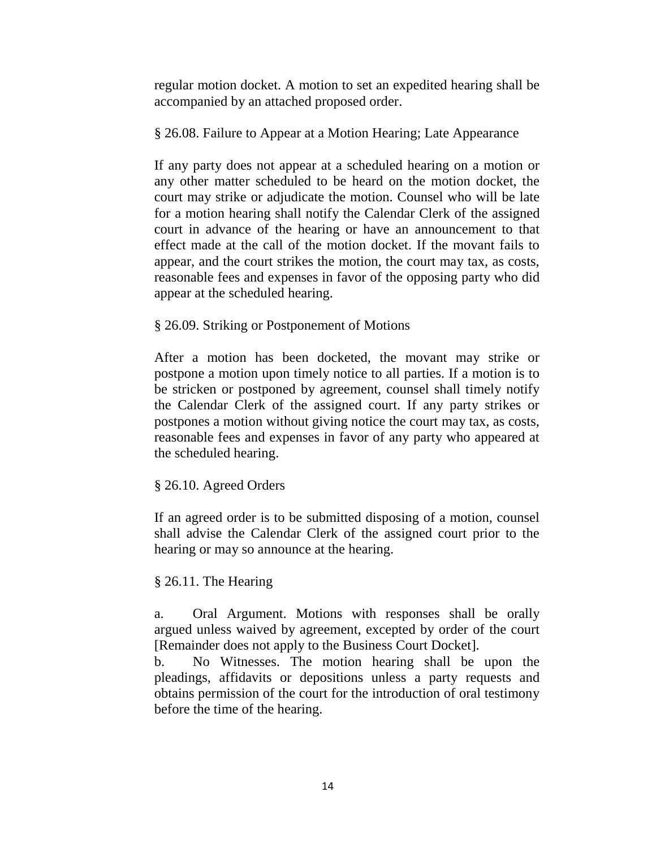regular motion docket. A motion to set an expedited hearing shall be accompanied by an attached proposed order.

#### § 26.08. Failure to Appear at a Motion Hearing; Late Appearance

If any party does not appear at a scheduled hearing on a motion or any other matter scheduled to be heard on the motion docket, the court may strike or adjudicate the motion. Counsel who will be late for a motion hearing shall notify the Calendar Clerk of the assigned court in advance of the hearing or have an announcement to that effect made at the call of the motion docket. If the movant fails to appear, and the court strikes the motion, the court may tax, as costs, reasonable fees and expenses in favor of the opposing party who did appear at the scheduled hearing.

#### § 26.09. Striking or Postponement of Motions

After a motion has been docketed, the movant may strike or postpone a motion upon timely notice to all parties. If a motion is to be stricken or postponed by agreement, counsel shall timely notify the Calendar Clerk of the assigned court. If any party strikes or postpones a motion without giving notice the court may tax, as costs, reasonable fees and expenses in favor of any party who appeared at the scheduled hearing.

#### § 26.10. Agreed Orders

If an agreed order is to be submitted disposing of a motion, counsel shall advise the Calendar Clerk of the assigned court prior to the hearing or may so announce at the hearing.

#### § 26.11. The Hearing

a. Oral Argument. Motions with responses shall be orally argued unless waived by agreement, excepted by order of the court [Remainder does not apply to the Business Court Docket].

b. No Witnesses. The motion hearing shall be upon the pleadings, affidavits or depositions unless a party requests and obtains permission of the court for the introduction of oral testimony before the time of the hearing.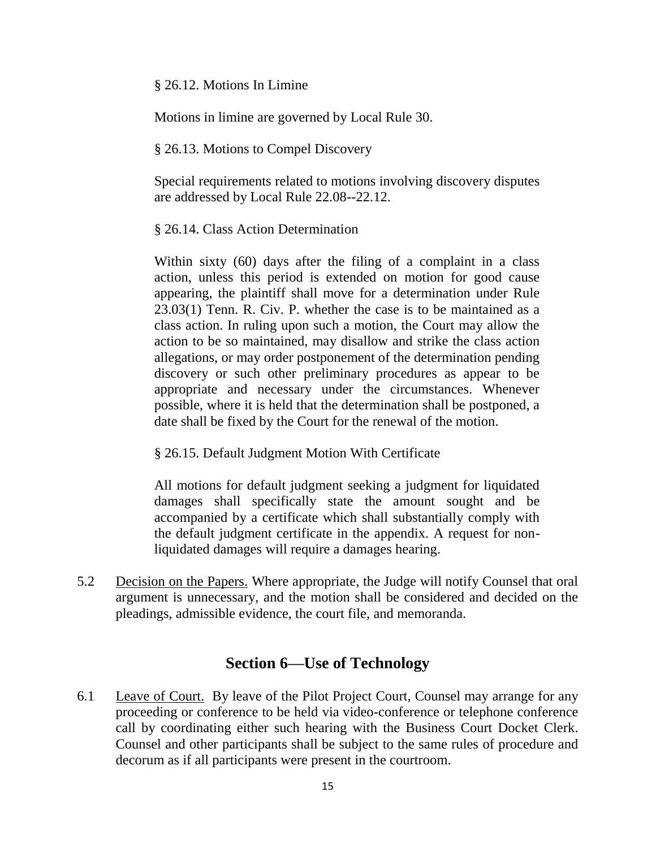§ 26.12. Motions In Limine

Motions in limine are governed by Local Rule 30.

#### § 26.13. Motions to Compel Discovery

Special requirements related to motions involving discovery disputes are addressed by Local Rule 22.08--22.12.

§ 26.14. Class Action Determination

Within sixty (60) days after the filing of a complaint in a class action, unless this period is extended on motion for good cause appearing, the plaintiff shall move for a determination under Rule 23.03(1) Tenn. R. Civ. P. whether the case is to be maintained as a class action. In ruling upon such a motion, the Court may allow the action to be so maintained, may disallow and strike the class action allegations, or may order postponement of the determination pending discovery or such other preliminary procedures as appear to be appropriate and necessary under the circumstances. Whenever possible, where it is held that the determination shall be postponed, a date shall be fixed by the Court for the renewal of the motion.

§ 26.15. Default Judgment Motion With Certificate

All motions for default judgment seeking a judgment for liquidated damages shall specifically state the amount sought and be accompanied by a certificate which shall substantially comply with the default judgment certificate in the appendix. A request for nonliquidated damages will require a damages hearing.

5.2 Decision on the Papers. Where appropriate, the Judge will notify Counsel that oral argument is unnecessary, and the motion shall be considered and decided on the pleadings, admissible evidence, the court file, and memoranda.

## **Section 6—Use of Technology**

6.1 Leave of Court. By leave of the Pilot Project Court, Counsel may arrange for any proceeding or conference to be held via video-conference or telephone conference call by coordinating either such hearing with the Business Court Docket Clerk. Counsel and other participants shall be subject to the same rules of procedure and decorum as if all participants were present in the courtroom.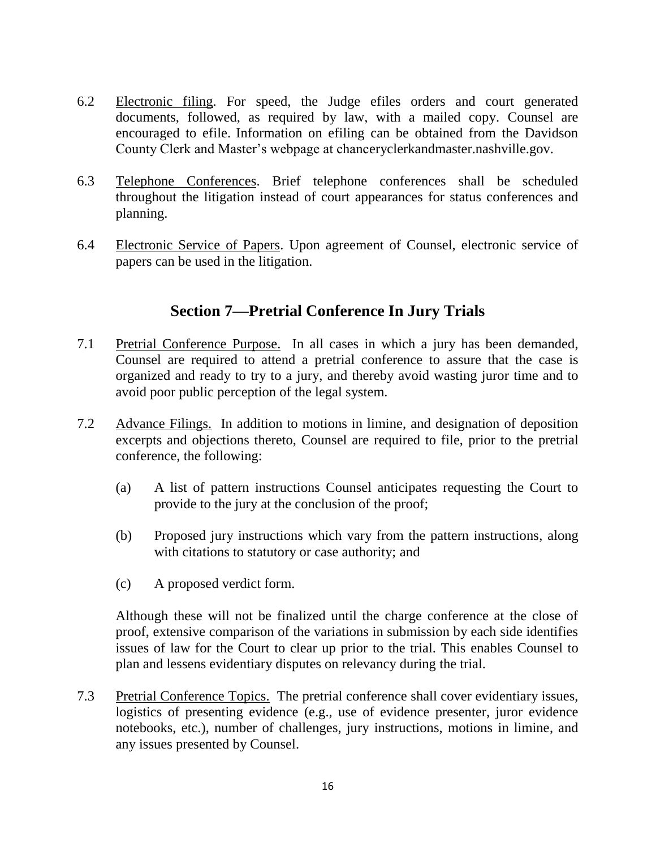- 6.2 Electronic filing. For speed, the Judge efiles orders and court generated documents, followed, as required by law, with a mailed copy. Counsel are encouraged to efile. Information on efiling can be obtained from the Davidson County Clerk and Master's webpage at chanceryclerkandmaster.nashville.gov.
- 6.3 Telephone Conferences. Brief telephone conferences shall be scheduled throughout the litigation instead of court appearances for status conferences and planning.
- 6.4 Electronic Service of Papers. Upon agreement of Counsel, electronic service of papers can be used in the litigation.

# **Section 7—Pretrial Conference In Jury Trials**

- 7.1 Pretrial Conference Purpose. In all cases in which a jury has been demanded, Counsel are required to attend a pretrial conference to assure that the case is organized and ready to try to a jury, and thereby avoid wasting juror time and to avoid poor public perception of the legal system.
- 7.2 Advance Filings. In addition to motions in limine, and designation of deposition excerpts and objections thereto, Counsel are required to file, prior to the pretrial conference, the following:
	- (a) A list of pattern instructions Counsel anticipates requesting the Court to provide to the jury at the conclusion of the proof;
	- (b) Proposed jury instructions which vary from the pattern instructions, along with citations to statutory or case authority; and
	- (c) A proposed verdict form.

Although these will not be finalized until the charge conference at the close of proof, extensive comparison of the variations in submission by each side identifies issues of law for the Court to clear up prior to the trial. This enables Counsel to plan and lessens evidentiary disputes on relevancy during the trial.

7.3 Pretrial Conference Topics. The pretrial conference shall cover evidentiary issues, logistics of presenting evidence (e.g., use of evidence presenter, juror evidence notebooks, etc.), number of challenges, jury instructions, motions in limine, and any issues presented by Counsel.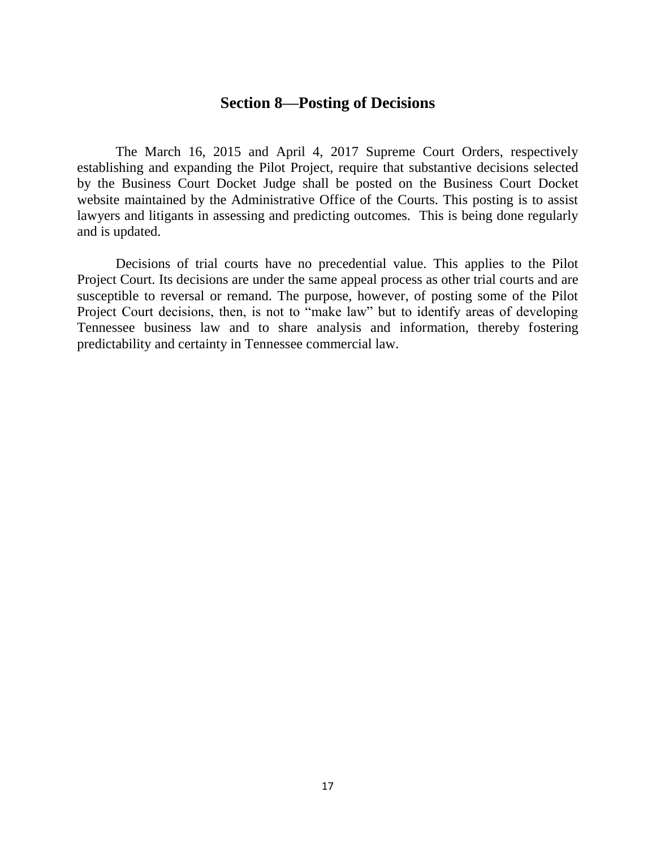## **Section 8—Posting of Decisions**

The March 16, 2015 and April 4, 2017 Supreme Court Orders, respectively establishing and expanding the Pilot Project, require that substantive decisions selected by the Business Court Docket Judge shall be posted on the Business Court Docket website maintained by the Administrative Office of the Courts. This posting is to assist lawyers and litigants in assessing and predicting outcomes. This is being done regularly and is updated.

Decisions of trial courts have no precedential value. This applies to the Pilot Project Court. Its decisions are under the same appeal process as other trial courts and are susceptible to reversal or remand. The purpose, however, of posting some of the Pilot Project Court decisions, then, is not to "make law" but to identify areas of developing Tennessee business law and to share analysis and information, thereby fostering predictability and certainty in Tennessee commercial law.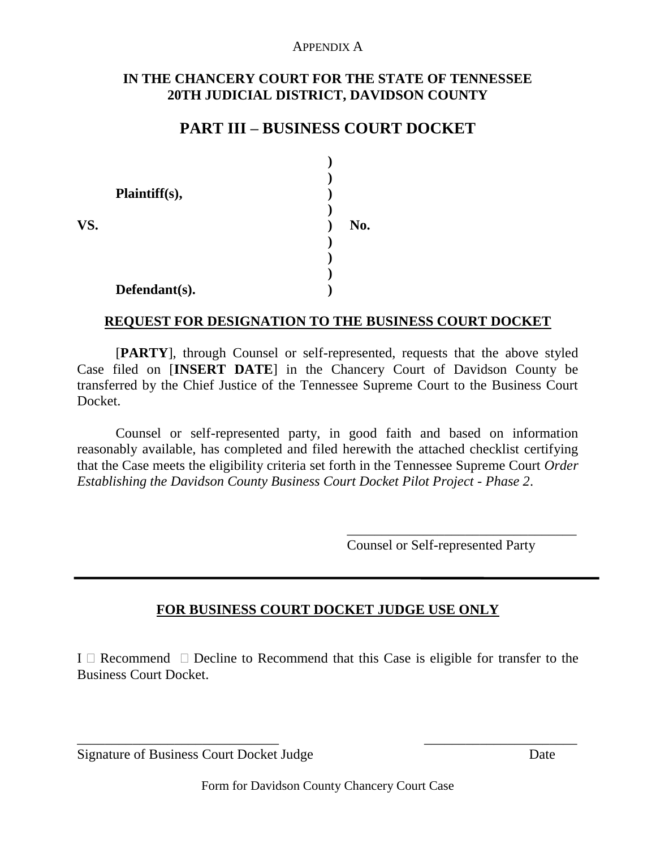#### APPENDIX A

#### **IN THE CHANCERY COURT FOR THE STATE OF TENNESSEE 20TH JUDICIAL DISTRICT, DAVIDSON COUNTY**

# **PART III – BUSINESS COURT DOCKET**

| No. |
|-----|
|     |
|     |

#### **REQUEST FOR DESIGNATION TO THE BUSINESS COURT DOCKET**

[**PARTY**], through Counsel or self-represented, requests that the above styled Case filed on [**INSERT DATE**] in the Chancery Court of Davidson County be transferred by the Chief Justice of the Tennessee Supreme Court to the Business Court Docket.

Counsel or self-represented party, in good faith and based on information reasonably available, has completed and filed herewith the attached checklist certifying that the Case meets the eligibility criteria set forth in the Tennessee Supreme Court *Order Establishing the Davidson County Business Court Docket Pilot Project - Phase 2*.

Counsel or Self-represented Party

\_\_\_\_\_\_\_\_\_\_\_\_\_\_\_\_\_\_\_\_\_\_\_\_\_\_\_\_\_\_\_\_\_

#### **FOR BUSINESS COURT DOCKET JUDGE USE ONLY**

I  $\Box$  Recommend  $\Box$  Decline to Recommend that this Case is eligible for transfer to the Business Court Docket.

| <b>Signature of Business Court Docket Judge</b> | Date |
|-------------------------------------------------|------|
|                                                 |      |

\_\_\_\_\_\_\_\_\_\_\_\_\_\_\_\_\_\_\_\_\_\_\_\_\_\_\_\_\_ \_\_\_\_\_\_\_\_\_\_\_\_\_\_\_\_\_\_\_\_\_\_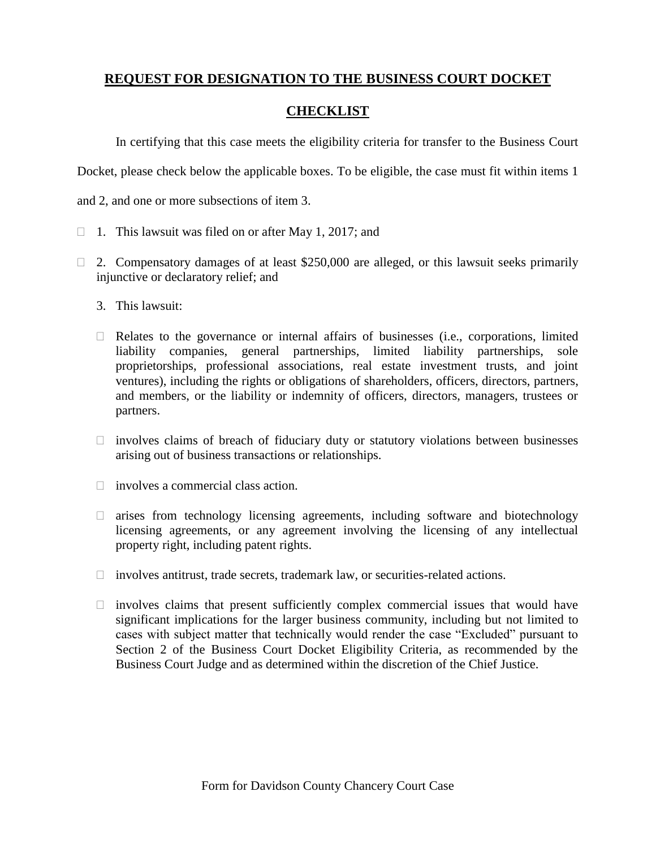## **REQUEST FOR DESIGNATION TO THE BUSINESS COURT DOCKET**

#### **CHECKLIST**

In certifying that this case meets the eligibility criteria for transfer to the Business Court

Docket, please check below the applicable boxes. To be eligible, the case must fit within items 1

and 2, and one or more subsections of item 3.

- $\Box$  1. This lawsuit was filed on or after May 1, 2017; and
- $\Box$  2. Compensatory damages of at least \$250,000 are alleged, or this lawsuit seeks primarily injunctive or declaratory relief; and
	- 3. This lawsuit:
	- $\Box$  Relates to the governance or internal affairs of businesses (i.e., corporations, limited liability companies, general partnerships, limited liability partnerships, sole proprietorships, professional associations, real estate investment trusts, and joint ventures), including the rights or obligations of shareholders, officers, directors, partners, and members, or the liability or indemnity of officers, directors, managers, trustees or partners.
	- $\Box$  involves claims of breach of fiduciary duty or statutory violations between businesses arising out of business transactions or relationships.
	- $\Box$  involves a commercial class action.
	- $\Box$  arises from technology licensing agreements, including software and biotechnology licensing agreements, or any agreement involving the licensing of any intellectual property right, including patent rights.
	- $\Box$  involves antitrust, trade secrets, trademark law, or securities-related actions.
	- $\Box$  involves claims that present sufficiently complex commercial issues that would have significant implications for the larger business community, including but not limited to cases with subject matter that technically would render the case "Excluded" pursuant to Section 2 of the Business Court Docket Eligibility Criteria, as recommended by the Business Court Judge and as determined within the discretion of the Chief Justice.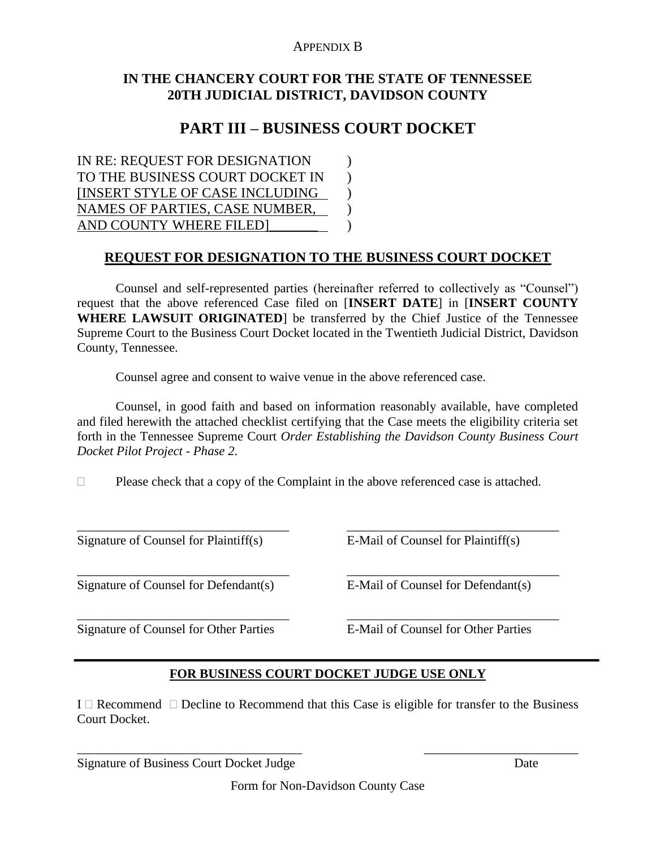#### APPENDIX B

#### **IN THE CHANCERY COURT FOR THE STATE OF TENNESSEE 20TH JUDICIAL DISTRICT, DAVIDSON COUNTY**

# **PART III – BUSINESS COURT DOCKET**

IN RE: REQUEST FOR DESIGNATION ) TO THE BUSINESS COURT DOCKET IN ) [INSERT STYLE OF CASE INCLUDING ) NAMES OF PARTIES, CASE NUMBER, AND COUNTY WHERE FILED  $)$ 

## **REQUEST FOR DESIGNATION TO THE BUSINESS COURT DOCKET**

Counsel and self-represented parties (hereinafter referred to collectively as "Counsel") request that the above referenced Case filed on [**INSERT DATE**] in [**INSERT COUNTY WHERE LAWSUIT ORIGINATED**] be transferred by the Chief Justice of the Tennessee Supreme Court to the Business Court Docket located in the Twentieth Judicial District, Davidson County, Tennessee.

Counsel agree and consent to waive venue in the above referenced case.

Counsel, in good faith and based on information reasonably available, have completed and filed herewith the attached checklist certifying that the Case meets the eligibility criteria set forth in the Tennessee Supreme Court *Order Establishing the Davidson County Business Court Docket Pilot Project - Phase 2*.

 $\Box$  Please check that a copy of the Complaint in the above referenced case is attached.

\_\_\_\_\_\_\_\_\_\_\_\_\_\_\_\_\_\_\_\_\_\_\_\_\_\_\_\_\_\_\_\_\_ \_\_\_\_\_\_\_\_\_\_\_\_\_\_\_\_\_\_\_\_\_\_\_\_\_\_\_\_\_\_\_\_\_

\_\_\_\_\_\_\_\_\_\_\_\_\_\_\_\_\_\_\_\_\_\_\_\_\_\_\_\_\_\_\_\_\_ \_\_\_\_\_\_\_\_\_\_\_\_\_\_\_\_\_\_\_\_\_\_\_\_\_\_\_\_\_\_\_\_\_

\_\_\_\_\_\_\_\_\_\_\_\_\_\_\_\_\_\_\_\_\_\_\_\_\_\_\_\_\_\_\_\_\_ \_\_\_\_\_\_\_\_\_\_\_\_\_\_\_\_\_\_\_\_\_\_\_\_\_\_\_\_\_\_\_\_\_ Signature of Counsel for Plaintiff(s) E-Mail of Counsel for Plaintiff(s)

Signature of Counsel for Defendant(s) E-Mail of Counsel for Defendant(s)

Signature of Counsel for Other Parties E-Mail of Counsel for Other Parties

#### **FOR BUSINESS COURT DOCKET JUDGE USE ONLY**

I  $\Box$  Recommend  $\Box$  Decline to Recommend that this Case is eligible for transfer to the Business Court Docket.

Signature of Business Court Docket Judge Date

\_\_\_\_\_\_\_\_\_\_\_\_\_\_\_\_\_\_\_\_\_\_\_\_\_\_\_\_\_\_\_\_\_\_\_ \_\_\_\_\_\_\_\_\_\_\_\_\_\_\_\_\_\_\_\_\_\_\_\_